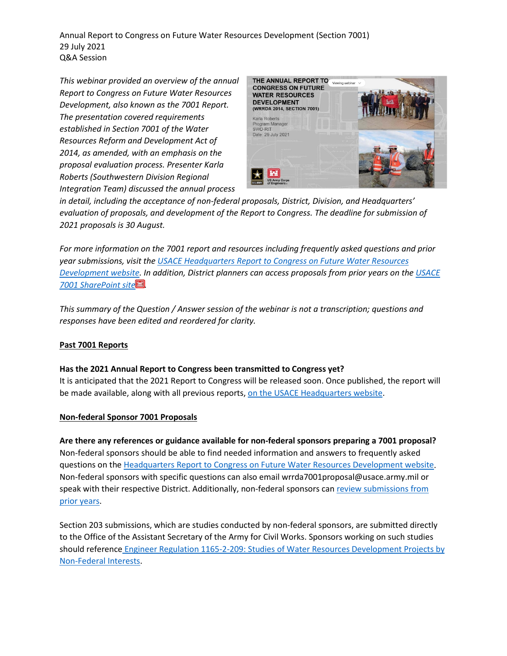Annual Report to Congress on Future Water Resources Development (Section 7001) 29 July 2021 Q&A Session

*This webinar provided an overview of the annual Report to Congress on Future Water Resources Development, also known as the 7001 Report. The presentation covered requirements established in Section 7001 of the Water Resources Reform and Development Act of 2014, as amended, with an emphasis on the proposal evaluation process. Presenter Karla Roberts (Southwestern Division Regional Integration Team) discussed the annual process* 



*in detail, including the acceptance of non-federal proposals, District, Division, and Headquarters' evaluation of proposals, and development of the Report to Congress. The deadline for submission of 2021 proposals is 30 August.* 

*For more information on the 7001 report and resources including frequently asked questions and prior year submissions, visit the [USACE Headquarters Report to Congress on Future Water Resources](https://www.usace.army.mil/Missions/Civil-Works/Project-Planning/WRRDA-7001-Proposals/)  [Development website.](https://www.usace.army.mil/Missions/Civil-Works/Project-Planning/WRRDA-7001-Proposals/) In addition, District planners can access proposals from prior years on the [USACE](https://cops.usace.army.mil/sites/PLAN/2015%20WRRDA%207001%20Proposal%20Evaluation/Forms/AllItems.aspx)  [7001 SharePoint site](https://cops.usace.army.mil/sites/PLAN/2015%20WRRDA%207001%20Proposal%20Evaluation/Forms/AllItems.aspx) .* 

*This summary of the Question / Answer session of the webinar is not a transcription; questions and responses have been edited and reordered for clarity.*

## **Past 7001 Reports**

### **Has the 2021 Annual Report to Congress been transmitted to Congress yet?**

It is anticipated that the 2021 Report to Congress will be released soon. Once published, the report will be made available, along with all previous reports[, on the USACE Headquarters website.](https://www.usace.army.mil/Missions/Civil-Works/Project-Planning/Legislative-Links/wrrda2014/wrrda2014_proposals/)

### **Non-federal Sponsor 7001 Proposals**

**Are there any references or guidance available for non-federal sponsors preparing a 7001 proposal?**  Non-federal sponsors should be able to find needed information and answers to frequently asked questions on the [Headquarters Report to Congress on Future](https://www.usace.army.mil/Missions/Civil-Works/Project-Planning/WRRDA-7001-Proposals/) Water Resources Development website. Non-federal sponsors with specific questions can also email wrrda7001proposal@usace.army.mil or speak with their respective District. Additionally, non-federal sponsors ca[n review submissions from](https://www.usace.army.mil/Missions/Civil-Works/Project-Planning/Legislative-Links/wrrda2014/wrrda2014_proposals/)  [prior years.](https://www.usace.army.mil/Missions/Civil-Works/Project-Planning/Legislative-Links/wrrda2014/wrrda2014_proposals/)

Section 203 submissions, which are studies conducted by non-federal sponsors, are submitted directly to the Office of the Assistant Secretary of the Army for Civil Works. Sponsors working on such studies should reference Engineer Regulation [1165-2-209: Studies of Water Resources Development Projects by](https://www.publications.usace.army.mil/Portals/76/Publications/EngineerRegulations/ER_1165-2-209.pdf?ver=2016-04-14-102808-930)  [Non-Federal Interests.](https://www.publications.usace.army.mil/Portals/76/Publications/EngineerRegulations/ER_1165-2-209.pdf?ver=2016-04-14-102808-930)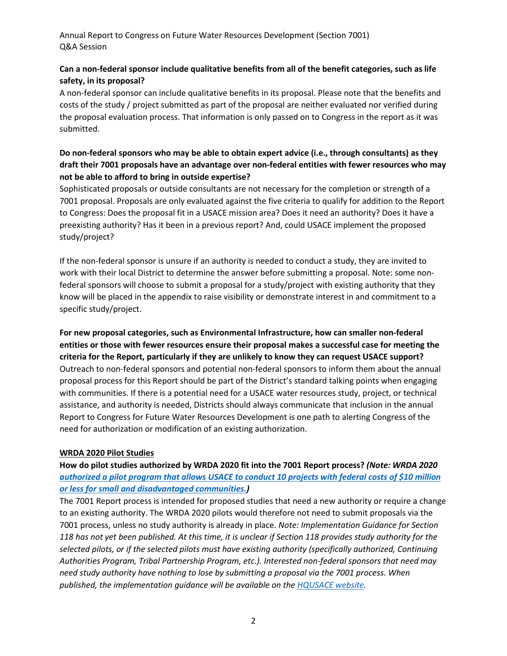Annual Report to Congress on Future Water Resources Development (Section 7001) Q&A Session

# **Can a non-federal sponsor include qualitative benefits from all of the benefit categories, such as life safety, in its proposal?**

A non-federal sponsor can include qualitative benefits in its proposal. Please note that the benefits and costs of the study / project submitted as part of the proposal are neither evaluated nor verified during the proposal evaluation process. That information is only passed on to Congress in the report as it was submitted.

# **Do non-federal sponsors who may be able to obtain expert advice (i.e., through consultants) as they draft their 7001 proposals have an advantage over non-federal entities with fewer resources who may not be able to afford to bring in outside expertise?**

Sophisticated proposals or outside consultants are not necessary for the completion or strength of a 7001 proposal. Proposals are only evaluated against the five criteria to qualify for addition to the Report to Congress: Does the proposal fit in a USACE mission area? Does it need an authority? Does it have a preexisting authority? Has it been in a previous report? And, could USACE implement the proposed study/project?

If the non-federal sponsor is unsure if an authority is needed to conduct a study, they are invited to work with their local District to determine the answer before submitting a proposal. Note: some nonfederal sponsors will choose to submit a proposal for a study/project with existing authority that they know will be placed in the appendix to raise visibility or demonstrate interest in and commitment to a specific study/project.

**For new proposal categories, such as Environmental Infrastructure, how can smaller non-federal entities or those with fewer resources ensure their proposal makes a successful case for meeting the criteria for the Report, particularly if they are unlikely to know they can request USACE support?**  Outreach to non-federal sponsors and potential non-federal sponsors to inform them about the annual proposal process for this Report should be part of the District's standard talking points when engaging with communities. If there is a potential need for a USACE water resources study, project, or technical assistance, and authority is needed, Districts should always communicate that inclusion in the annual Report to Congress for Future Water Resources Development is one path to alerting Congress of the need for authorization or modification of an existing authorization.

## **WRDA 2020 Pilot Studies**

**How do pilot studies authorized by WRDA 2020 fit into the 7001 Report process?** *(Note: WRDA 2020 [authorized a pilot program that allows USACE to conduct 10 projects with federal costs of \\$10 million](https://crsreports.congress.gov/product/pdf/IF/IF11700)  [or less for small and disadvantaged communities.\)](https://crsreports.congress.gov/product/pdf/IF/IF11700)*

The 7001 Report process is intended for proposed studies that need a new authority or require a change to an existing authority. The WRDA 2020 pilots would therefore not need to submit proposals via the 7001 process, unless no study authority is already in place. *Note: Implementation Guidance for Section 118 has not yet been published. At this time, it is unclear if Section 118 provides study authority for the selected pilots, or if the selected pilots must have existing authority (specifically authorized, Continuing Authorities Program, Tribal Partnership Program, etc.). Interested non-federal sponsors that need may need study authority have nothing to lose by submitting a proposal via the 7001 process. When published, the implementation guidance will be available on the [HQUSACE website.](https://www.usace.army.mil/Missions/Civil-Works/Project-Planning/Legislative-Links/wrda_2020/wrda2020_impguide/)*